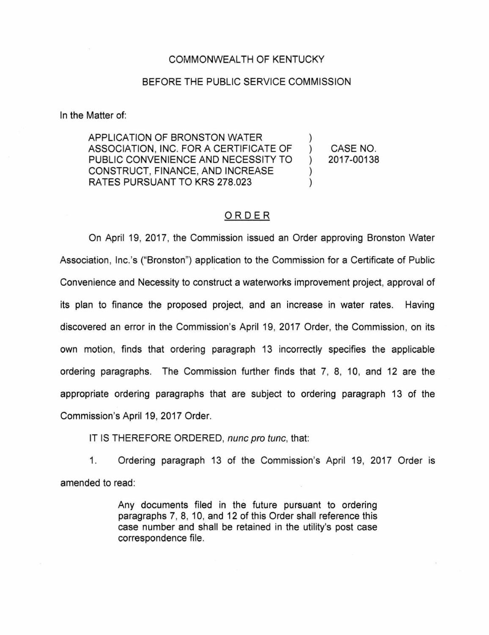## COMMONWEALTH OF KENTUCKY

## BEFORE THE PUBLIC SERVICE COMMISSION

In the Matter of:

APPLICATION OF BRONSTON WATER ASSOCIATION, INC. FOR A CERTIFICATE OF PUBLIC CONVENIENCE AND NECESSITY TO CONSTRUCT, FINANCE, AND INCREASE RATES PURSUANT TO KRS 278.023 ) ) CASE NO. ) 2017-00138 ) )

## ORDER

On April 19, 2017, the Commission issued an Order approving Bronston Water Association, Inc.'s ("Bronston") application to the Commission for a Certificate of Public Convenience and Necessity to construct a waterworks improvement project, approval of its plan to finance the proposed project, and an increase in water rates. Having discovered an error in the Commission's April 19, 2017 Order, the Commission, on its own motion, finds that ordering paragraph 13 incorrectly specifies the applicable ordering paragraphs. The Commission further finds that 7, 8, 10, and 12 are the appropriate ordering paragraphs that are subject to ordering paragraph 13 of the Commission's April 19, 2017 Order.

IT IS THEREFORE ORDERED, nunc pro tunc, that:

1. Ordering paragraph 13 of the Commission's April 19, 2017 Order is amended to read:

> Any documents filed in the future pursuant to ordering paragraphs 7, 8, 10, and 12 of this Order shall reference this case number and shall be retained in the utility's post case correspondence file.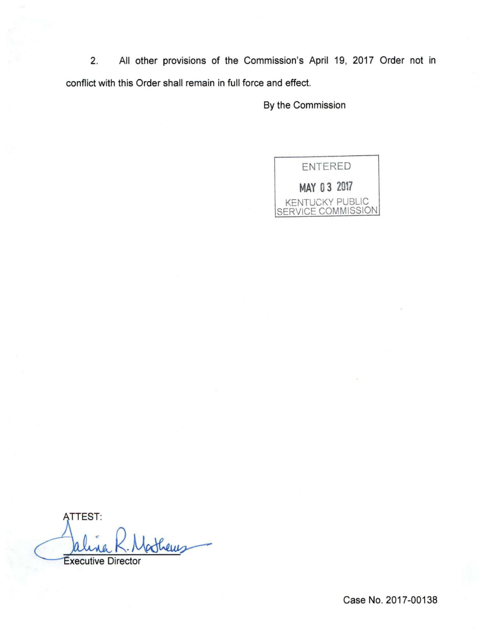2. All other provisions of the Commission's April 19, 2017 Order not in conflict with this Order shall remain in full force and effect.

By the Commission



ATTEST: ATTEST:<br>Palina R. Matheus

Case No. 2017-00138